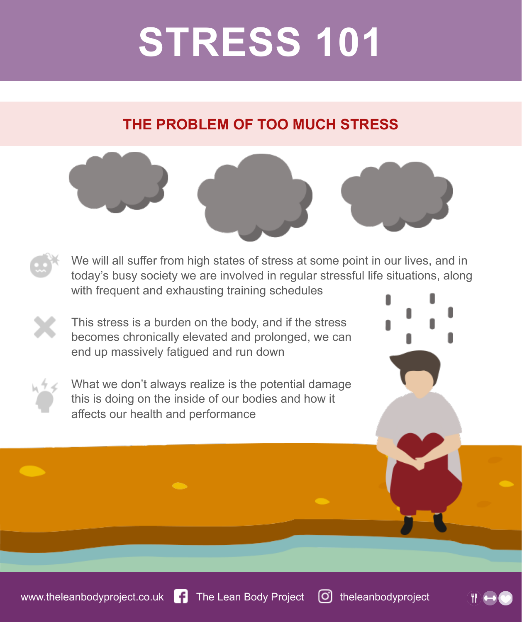## **STRESS 101**

#### **THE PROBLEM OF TOO MUCH STRESS**

We will all suffer from high states of stress at some point in our lives, and in today's busy society we are involved in regular stressful life situations, along with frequent and exhausting training schedules

This stress is a burden on the body, and if the stress becomes chronically elevated and prolonged, we can end up massively fatigued and run down

What we don't always realize is the potential damage this is doing on the inside of our bodies and how it affects our health and performance

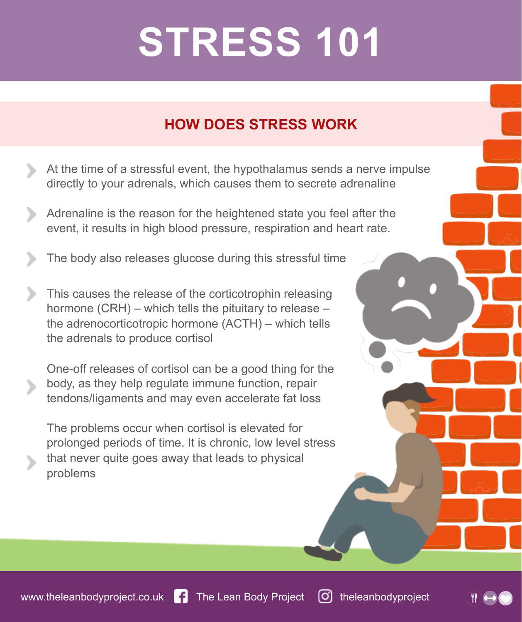# **STRESS 101**

#### **HOW DOES STRESS WORK**

- At the time of a stressful event, the hypothalamus sends a nerve impulse directly to your adrenals, which causes them to secrete adrenaline
- Adrenaline is the reason for the heightened state you feel after the event, it results in high blood pressure, respiration and heart rate.
- The body also releases glucose during this stressful time
- This causes the release of the corticotrophin releasing ⋗ hormone (CRH) – which tells the pituitary to release – the adrenocorticotropic hormone (ACTH) – which tells the adrenals to produce cortisol
	- One-off releases of cortisol can be a good thing for the body, as they help regulate immune function, repair tendons/ligaments and may even accelerate fat loss
		- The problems occur when cortisol is elevated for prolonged periods of time. It is chronic, low level stress that never quite goes away that leads to physical problems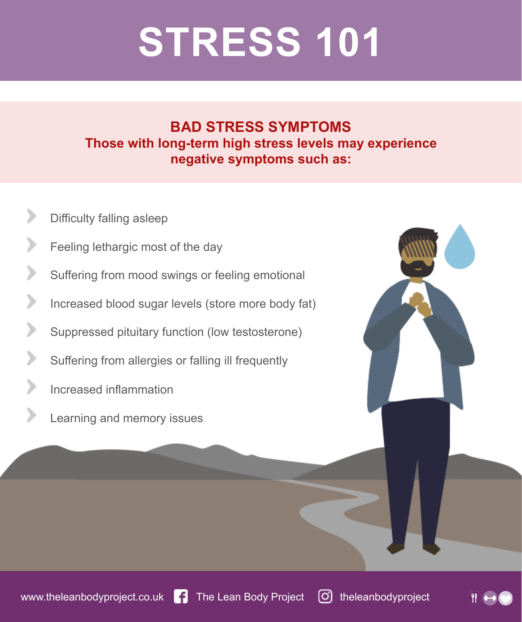# **STRESS 101**

#### **BAD STRESS SYMPTOMS Those with long-term high stress levels may experience negative symptoms such as:**

- ⋗ Difficulty falling asleep
- ⋗ Feeling lethargic most of the day
- Suffering from mood swings or feeling emotional
- ⋗ Increased blood sugar levels (store more body fat)
- ⋗ Suppressed pituitary function (low testosterone)
- Suffering from allergies or falling ill frequently
- ⋗ Increased inflammation
- ⋗ Learning and memory issues

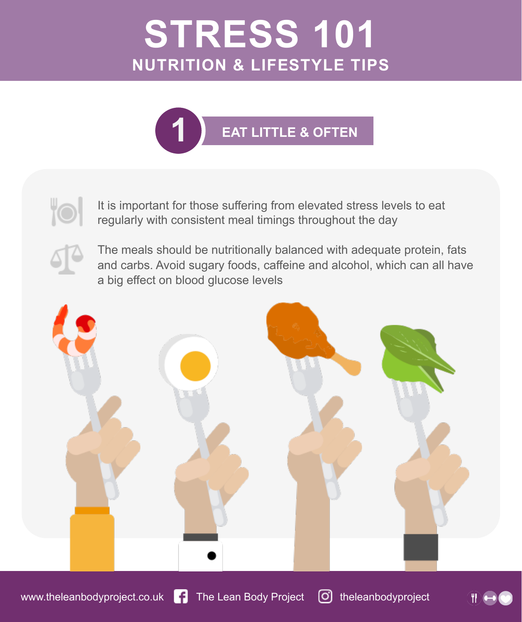

It is important for those suffering from elevated stress levels to eat regularly with consistent meal timings throughout the day

The meals should be nutritionally balanced with adequate protein, fats and carbs. Avoid sugary foods, caffeine and alcohol, which can all have a big effect on blood glucose levels



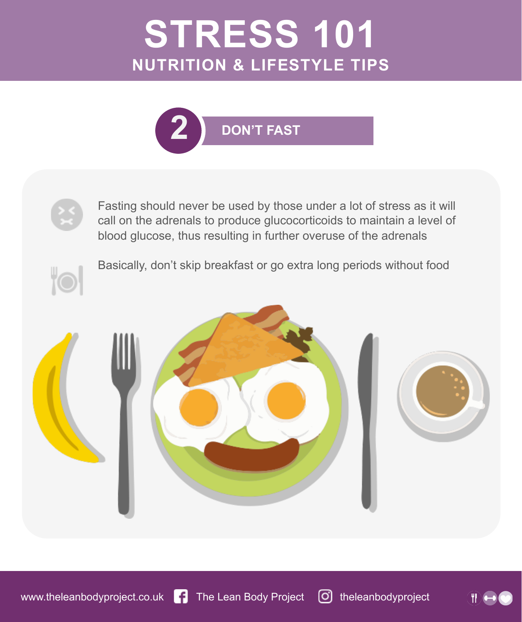



Fasting should never be used by those under a lot of stress as it will call on the adrenals to produce glucocorticoids to maintain a level of blood glucose, thus resulting in further overuse of the adrenals



Basically, don't skip breakfast or go extra long periods without food

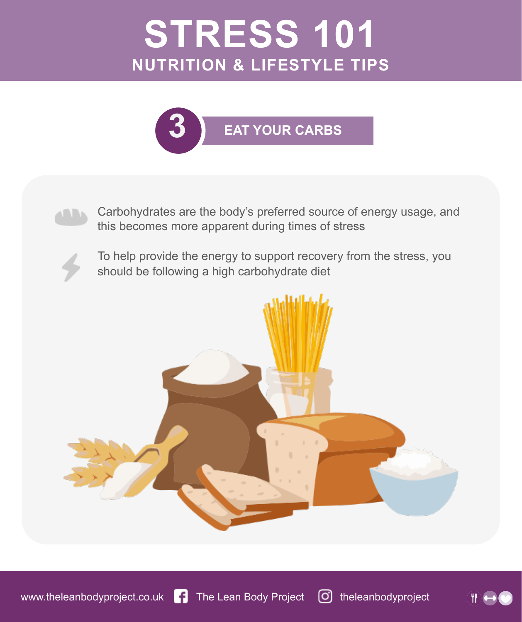



Carbohydrates are the body's preferred source of energy usage, and this becomes more apparent during times of stress



To help provide the energy to support recovery from the stress, you should be following a high carbohydrate diet



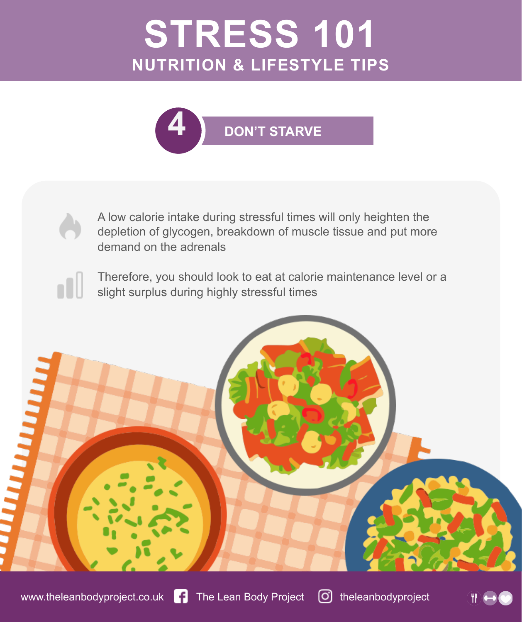

A low calorie intake during stressful times will only heighten the depletion of glycogen, breakdown of muscle tissue and put more demand on the adrenals

Therefore, you should look to eat at calorie maintenance level or a slight surplus during highly stressful times